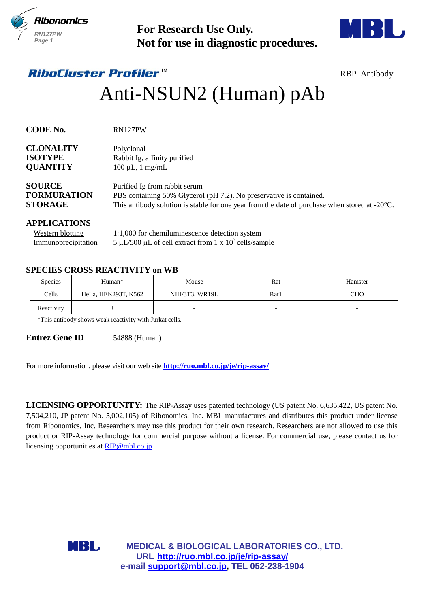



# Anti-NSUN2 (Human) pAb

| <b>RN127PW</b><br>Page 1                                              | <b>For Research Use Only.</b><br>Not for use in diagnostic procedures.                                     |                                                                                                                                                                                                                 |      |                                                                                                                                                                                                                                                                                                                                                                                                                                                                               |  |  |
|-----------------------------------------------------------------------|------------------------------------------------------------------------------------------------------------|-----------------------------------------------------------------------------------------------------------------------------------------------------------------------------------------------------------------|------|-------------------------------------------------------------------------------------------------------------------------------------------------------------------------------------------------------------------------------------------------------------------------------------------------------------------------------------------------------------------------------------------------------------------------------------------------------------------------------|--|--|
|                                                                       | <i>RiboCluster Profiler™</i>                                                                               |                                                                                                                                                                                                                 |      | <b>RBP</b> Antibody                                                                                                                                                                                                                                                                                                                                                                                                                                                           |  |  |
|                                                                       |                                                                                                            | Anti-NSUN2 (Human) pAb                                                                                                                                                                                          |      |                                                                                                                                                                                                                                                                                                                                                                                                                                                                               |  |  |
| CODE No.                                                              | RN127PW                                                                                                    |                                                                                                                                                                                                                 |      |                                                                                                                                                                                                                                                                                                                                                                                                                                                                               |  |  |
| <b>CLONALITY</b><br><b>ISOTYPE</b><br><b>QUANTITY</b>                 | Polyclonal                                                                                                 | Rabbit Ig, affinity purified<br>$100 \mu L$ , 1 mg/mL                                                                                                                                                           |      |                                                                                                                                                                                                                                                                                                                                                                                                                                                                               |  |  |
| <b>SOURCE</b><br><b>FORMURATION</b><br><b>STORAGE</b>                 |                                                                                                            | Purified Ig from rabbit serum<br>PBS containing 50% Glycerol (pH 7.2). No preservative is contained.<br>This antibody solution is stable for one year from the date of purchase when stored at $-20^{\circ}$ C. |      |                                                                                                                                                                                                                                                                                                                                                                                                                                                                               |  |  |
| <b>APPLICATIONS</b><br><b>Western blotting</b><br>Immunoprecipitation |                                                                                                            | 1:1,000 for chemiluminescence detection system<br>5 µL/500 µL of cell extract from 1 x $10^7$ cells/sample                                                                                                      |      |                                                                                                                                                                                                                                                                                                                                                                                                                                                                               |  |  |
|                                                                       | <b>SPECIES CROSS REACTIVITY on WB</b>                                                                      |                                                                                                                                                                                                                 |      |                                                                                                                                                                                                                                                                                                                                                                                                                                                                               |  |  |
| Species                                                               | Human*                                                                                                     | Mouse                                                                                                                                                                                                           | Rat  | Hamster                                                                                                                                                                                                                                                                                                                                                                                                                                                                       |  |  |
| Cells                                                                 | HeLa, HEK293T, K562                                                                                        | NIH/3T3, WR19L                                                                                                                                                                                                  | Rat1 | <b>CHO</b>                                                                                                                                                                                                                                                                                                                                                                                                                                                                    |  |  |
| Reactivity                                                            | $^{+}$<br>*This antibody shows weak reactivity with Jurkat cells.                                          |                                                                                                                                                                                                                 |      |                                                                                                                                                                                                                                                                                                                                                                                                                                                                               |  |  |
| <b>Entrez Gene ID</b>                                                 | 54888 (Human)<br>For more information, please visit our web site <b>http://ruo.mbl.co.jp/je/rip-assay/</b> |                                                                                                                                                                                                                 |      |                                                                                                                                                                                                                                                                                                                                                                                                                                                                               |  |  |
|                                                                       | licensing opportunities at RIP@mbl.co.jp                                                                   |                                                                                                                                                                                                                 |      | LICENSING OPPORTUNITY: The RIP-Assay uses patented technology (US patent No. 6,635,422, US patent No.<br>7,504,210, JP patent No. 5,002,105) of Ribonomics, Inc. MBL manufactures and distributes this product under license<br>from Ribonomics, Inc. Researchers may use this product for their own research. Researchers are not allowed to use this<br>product or RIP-Assay technology for commercial purpose without a license. For commercial use, please contact us for |  |  |
|                                                                       | <b>MBL</b>                                                                                                 | <b>MEDICAL &amp; BIOLOGICAL LABORATORIES CO., LTD.</b><br>URL http://ruo.mbl.co.jp/je/rip-assay/<br>e-mail support@mbl.co.jp, TEL 052-238-1904                                                                  |      |                                                                                                                                                                                                                                                                                                                                                                                                                                                                               |  |  |

| <b>Western blotting</b> | 1:1,000 for chemiluminescence detection system           |
|-------------------------|----------------------------------------------------------|
| Immunoprecipitation     | 5 µL/500 µL of cell extract from 1 x $10^7$ cells/sample |

## **SPECIES CROSS REACTIVITY on WB**

| <b>Species</b> | Human*              | Mouse          | Rat  | Hamster                  |
|----------------|---------------------|----------------|------|--------------------------|
| Cells          | HeLa, HEK293T, K562 | NIH/3T3, WR19L | Rat1 | СНО                      |
| Reactivity     |                     | -              |      | $\overline{\phantom{0}}$ |

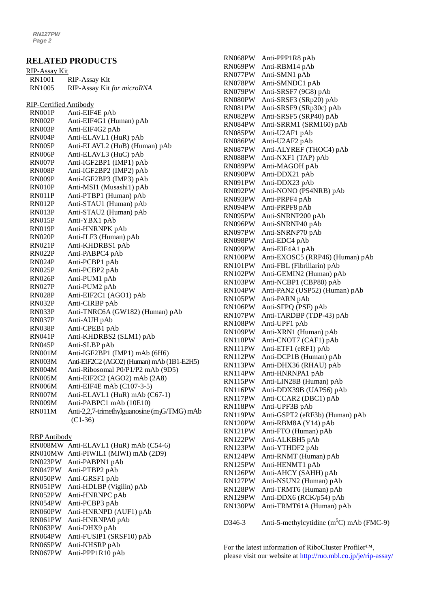#### **RELATED PRODUCTS**

| <u>RIP-Assay Kit</u>   |                                                          |
|------------------------|----------------------------------------------------------|
| <b>RN1001</b>          | <b>RIP-Assay Kit</b>                                     |
| <b>RN1005</b>          | RIP-Assay Kit for microRNA                               |
|                        |                                                          |
| RIP-Certified Antibody |                                                          |
| RN001P                 | Anti-EIF4E pAb                                           |
| RN002P                 | Anti-EIF4G1 (Human) pAb                                  |
| RN003P                 | Anti-EIF4G2 pAb                                          |
| RN004P                 | Anti-ELAVL1 (HuR) pAb                                    |
| <b>RN005P</b>          | Anti-ELAVL2 (HuB) (Human) pAb                            |
| RN006P                 | Anti-ELAVL3 (HuC) pAb                                    |
| RN007P                 | Anti-IGF2BP1 (IMP1) pAb                                  |
| RN008P                 | Anti-IGF2BP2 (IMP2) pAb                                  |
| RN009P                 | Anti-IGF2BP3 (IMP3) pAb                                  |
| RN010P                 | Anti-MSI1 (Musashi1) pAb                                 |
| RN011P                 | Anti-PTBP1 (Human) pAb                                   |
| RN012P                 | Anti-STAU1 (Human) pAb                                   |
| RN013P                 | Anti-STAU2 (Human) pAb                                   |
| RN015P                 | Anti-YBX1 pAb                                            |
| RN019P                 | Anti-HNRNPK pAb                                          |
| <b>RN020P</b>          | Anti-ILF3 (Human) pAb                                    |
| <b>RN021P</b>          | Anti-KHDRBS1 pAb                                         |
| <b>RN022P</b>          | Anti-PABPC4 pAb                                          |
| RN024P                 | Anti-PCBP1 pAb                                           |
| RN025P                 | Anti-PCBP2 pAb                                           |
| RN026P                 | Anti-PUM1 pAb                                            |
| RN027P                 | Anti-PUM2 pAb                                            |
| <b>RN028P</b>          | Anti-EIF2C1 (AGO1) pAb                                   |
| RN032P                 | Anti-CIRBP pAb                                           |
| RN033P                 | Anti-TNRC6A (GW182) (Human) pAb                          |
| RN037P                 | Anti-AUH pAb                                             |
| RN038P                 | Anti-CPEB1 pAb                                           |
| <b>RN041P</b>          | Anti-KHDRBS2 (SLM1) pAb                                  |
| RN045P                 | Anti-SLBP pAb                                            |
| <b>RN001M</b>          | Anti-IGF2BP1 (IMP1) mAb (6H6)                            |
| <b>RN003M</b>          | Anti-EIF2C2 (AGO2) (Human) mAb (1B1-E2H5)                |
| <b>RN004M</b>          | Anti-Ribosomal P0/P1/P2 mAb (9D5)                        |
| <b>RN005M</b>          | Anti-EIF2C2 (AGO2) mAb (2A8)                             |
| RN006M                 | Anti-EIF4E mAb $(C107-3-5)$                              |
| RN007M                 | Anti-ELAVL1 (HuR) mAb (C67-1)                            |
| RN009M                 | Anti-PABPC1 mAb (10E10)                                  |
| <b>RN011M</b>          | Anti-2,2,7-trimethylguanosine (m <sub>3</sub> G/TMG) mAb |
|                        | $(C1-36)$                                                |
|                        |                                                          |
| <b>RBP</b> Antibody    |                                                          |
| RN008MW                | Anti-ELAVL1 (HuR) mAb (C54-6)                            |
| RN010MW                | Anti-PIWIL1 (MIWI) mAb (2D9)                             |
| RN023PW                | Anti-PABPN1 pAb                                          |
| RN047PW                | Anti-PTBP2 pAb                                           |
| RN050PW                | Anti-GRSF1 pAb                                           |
| RN051PW                | Anti-HDLBP (Vigilin) pAb                                 |
| RN052PW                | Anti-HNRNPC pAb                                          |
| RN054PW                | Anti-PCBP3 pAb                                           |
| RN060PW                | Anti-HNRNPD (AUF1) pAb                                   |
| RN061PW                | Anti-HNRNPA0 pAb                                         |
| RN063PW                | Anti-DHX9 pAb                                            |
| RN064PW                | Anti-FUSIP1 (SRSF10) pAb                                 |

RN065PW Anti-KHSRP pAb RN067PW Anti-PPP1R10 pAb

RN068PW Anti-PPP1R8 pAb RN069PW Anti-RBM14 pAb RN077PW Anti-SMN1 pAb RN078PW Anti-SMNDC1 pAb RN079PW Anti-SRSF7 (9G8) pAb RN080PW Anti-SRSF3 (SRp20) pAb RN081PW Anti-SRSF9 (SRp30c) pAb RN082PW Anti-SRSF5 (SRP40) pAb RN084PW Anti-SRRM1 (SRM160) pAb RN085PW Anti-U2AF1 pAb RN086PW Anti-U2AF2 pAb<br>RN087PW Anti-ALYREF (T Anti-ALYREF (THOC4) pAb RN088PW Anti-NXF1 (TAP) pAb RN089PW Anti-MAGOH pAb RN090PW Anti-DDX21 pAb RN091PW Anti-DDX23 pAb RN092PW Anti-NONO (P54NRB) pAb RN093PW Anti-PRPF4 pAb RN094PW Anti-PRPF8 pAb RN095PW Anti-SNRNP200 pAb RN096PW Anti-SNRNP40 pAb RN097PW Anti-SNRNP70 pAb RN098PW Anti-EDC4 pAb RN099PW Anti-EIF4A1 pAb RN100PW Anti-EXOSC5 (RRP46) (Human) pAb RN101PW Anti-FBL (Fibrillarin) pAb RN102PW Anti-GEMIN2 (Human) pAb RN103PW Anti-NCBP1 (CBP80) pAb RN104PW Anti-PAN2 (USP52) (Human) pAb RN105PW Anti-PARN pAb RN106PW Anti-SFPQ (PSF) pAb RN107PW Anti-TARDBP (TDP-43) pAb RN108PW Anti-UPF1 pAb RN109PW Anti-XRN1 (Human) pAb RN110PW Anti-CNOT7 (CAF1) pAb RN111PW Anti-ETF1 (eRF1) pAb RN112PW Anti-DCP1B (Human) pAb RN113PW Anti-DHX36 (RHAU) pAb RN114PW Anti-HNRNPA1 pAb RN115PW Anti-LIN28B (Human) pAb RN116PW Anti-DDX39B (UAP56) pAb RN117PW Anti-CCAR2 (DBC1) pAb RN118PW Anti-UPF3B pAb RN119PW Anti-GSPT2 (eRF3b) (Human) pAb RN120PW Anti-RBM8A (Y14) pAb RN121PW Anti-FTO (Human) pAb RN122PW Anti-ALKBH5 pAb RN123PW Anti-YTHDF2 pAb RN124PW Anti-RNMT (Human) pAb RN125PW Anti-HENMT1 pAb RN126PW Anti-AHCY (SAHH) pAb RN127PW Anti-NSUN2 (Human) pAb RN128PW Anti-TRMT6 (Human) pAb RN129PW Anti-DDX6 (RCK/p54) pAb RN130PW Anti-TRMT61A (Human) pAb

D346-3 Anti-5-methylcytidine  $(m<sup>5</sup>C)$  mAb (FMC-9)

For the latest information of RiboCluster Profiler™, please visit our website at<http://ruo.mbl.co.jp/je/rip-assay/>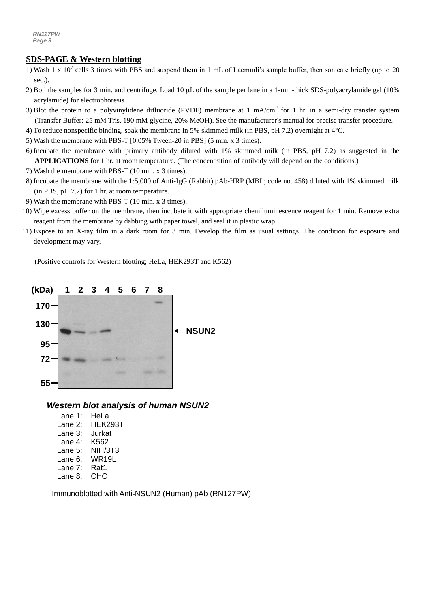#### *a g* **SDS-PAGE & Western blotting**

- 1) Wash 1 x 10<sup>7</sup> cells 3 times with PBS and suspend them in 1 mL of Laemmli's sample buffer, then sonicate briefly (up to 20 sec.).
- 2) Boil the samples for 3 min. and centrifuge. Load 10  $\mu$ L of the sample per lane in a 1-mm-thick SDS-polyacrylamide gel (10%) acrylamide) for electrophoresis.
- 3) Blot the protein to a polyvinylidene difluoride (PVDF) membrane at 1 mA/cm<sup>2</sup> for 1 hr. in a semi-dry transfer system (Transfer Buffer: 25 mM Tris, 190 mM glycine, 20% MeOH). See the manufacturer's manual for precise transfer procedure.
- 4) To reduce nonspecific binding, soak the membrane in 5% skimmed milk (in PBS, pH 7.2) overnight at 4°C.
- 5) Wash the membrane with PBS-T [0.05% Tween-20 in PBS] (5 min. x 3 times).
- 6) Incubate the membrane with primary antibody diluted with 1% skimmed milk (in PBS, pH 7.2) as suggested in the **APPLICATIONS** for 1 hr. at room temperature. (The concentration of antibody will depend on the conditions.)
- 7) Wash the membrane with PBS-T (10 min. x 3 times).
- 8) Incubate the membrane with the 1:5,000 o[f Anti-IgG \(Rabbit\) pAb-HRP](http://ruo.mbl.co.jp/g/dtl/A/330/) (MBL; code no. 458) diluted with 1% skimmed milk (in PBS, pH 7.2) for 1 hr. at room temperature.
- 9) Wash the membrane with PBS-T (10 min. x 3 times).
- 10) Wipe excess buffer on the membrane, then incubate it with appropriate chemiluminescence reagent for 1 min. Remove extra reagent from the membrane by dabbing with paper towel, and seal it in plastic wrap.
- 11) Expose to an X-ray film in a dark room for 3 min. Develop the film as usual settings. The condition for exposure and development may vary.

(Positive controls for Western blotting; HeLa, HEK293T and K562)



#### *Western blot analysis of human NSUN2*

Lane 1: HeLa Lane 2: HEK293T Lane 3: Jurkat Lane 4: K562 Lane 5: NIH/3T3 Lane 6: WR19L Lane 7: Rat1 Lane 8: CHO

Immunoblotted with Anti-NSUN2 (Human) pAb (RN127PW)